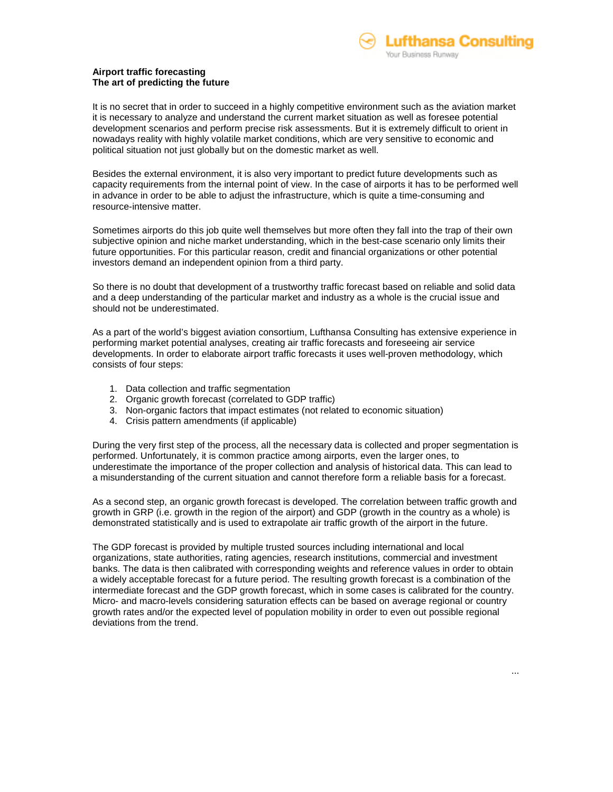

## **Airport traffic forecasting The art of predicting the future**

It is no secret that in order to succeed in a highly competitive environment such as the aviation market it is necessary to analyze and understand the current market situation as well as foresee potential development scenarios and perform precise risk assessments. But it is extremely difficult to orient in nowadays reality with highly volatile market conditions, which are very sensitive to economic and political situation not just globally but on the domestic market as well.

Besides the external environment, it is also very important to predict future developments such as capacity requirements from the internal point of view. In the case of airports it has to be performed well in advance in order to be able to adjust the infrastructure, which is quite a time-consuming and resource-intensive matter.

Sometimes airports do this job quite well themselves but more often they fall into the trap of their own subjective opinion and niche market understanding, which in the best-case scenario only limits their future opportunities. For this particular reason, credit and financial organizations or other potential investors demand an independent opinion from a third party.

So there is no doubt that development of a trustworthy traffic forecast based on reliable and solid data and a deep understanding of the particular market and industry as a whole is the crucial issue and should not be underestimated.

As a part of the world's biggest aviation consortium, Lufthansa Consulting has extensive experience in performing market potential analyses, creating air traffic forecasts and foreseeing air service developments. In order to elaborate airport traffic forecasts it uses well-proven methodology, which consists of four steps:

- 1. Data collection and traffic segmentation
- 2. Organic growth forecast (correlated to GDP traffic)
- 3. Non-organic factors that impact estimates (not related to economic situation)
- 4. Crisis pattern amendments (if applicable)

During the very first step of the process, all the necessary data is collected and proper segmentation is performed. Unfortunately, it is common practice among airports, even the larger ones, to underestimate the importance of the proper collection and analysis of historical data. This can lead to a misunderstanding of the current situation and cannot therefore form a reliable basis for a forecast.

As a second step, an organic growth forecast is developed. The correlation between traffic growth and growth in GRP (i.e. growth in the region of the airport) and GDP (growth in the country as a whole) is demonstrated statistically and is used to extrapolate air traffic growth of the airport in the future.

The GDP forecast is provided by multiple trusted sources including international and local organizations, state authorities, rating agencies, research institutions, commercial and investment banks. The data is then calibrated with corresponding weights and reference values in order to obtain a widely acceptable forecast for a future period. The resulting growth forecast is a combination of the intermediate forecast and the GDP growth forecast, which in some cases is calibrated for the country. Micro- and macro-levels considering saturation effects can be based on average regional or country growth rates and/or the expected level of population mobility in order to even out possible regional deviations from the trend.